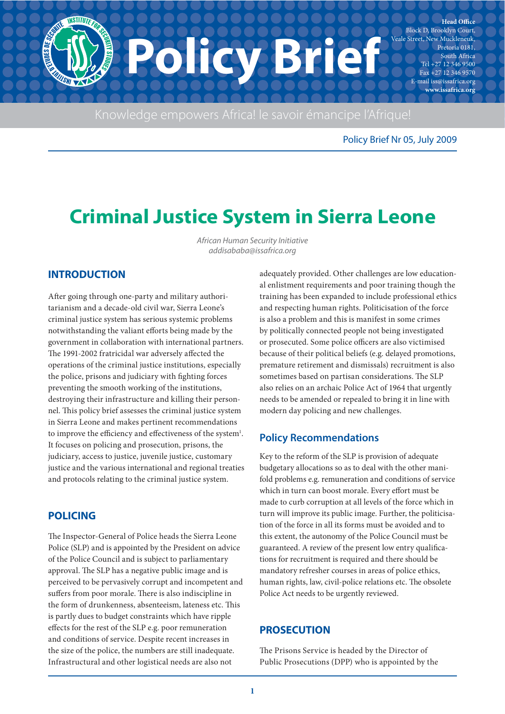

Knowledge empowers Africa! le savoir émancipe l'Afrique!

Policy Brief Nr 05, July 2009

# **Criminal Justice System in Sierra Leone**

African Human Security Initiative addisababa@issafrica.org

## **INTRODUCTION**

After going through one-party and military authoritarianism and a decade-old civil war, Sierra Leone's criminal justice system has serious systemic problems notwithstanding the valiant efforts being made by the government in collaboration with international partners. The 1991-2002 fratricidal war adversely affected the operations of the criminal justice institutions, especially the police, prisons and judiciary with fighting forces preventing the smooth working of the institutions, destroying their infrastructure and killing their personnel. This policy brief assesses the criminal justice system in Sierra Leone and makes pertinent recommendations to improve the efficiency and effectiveness of the system<sup>1</sup>. It focuses on policing and prosecution, prisons, the judiciary, access to justice, juvenile justice, customary justice and the various international and regional treaties and protocols relating to the criminal justice system.

## **POLICING**

The Inspector-General of Police heads the Sierra Leone Police (SLP) and is appointed by the President on advice of the Police Council and is subject to parliamentary approval. The SLP has a negative public image and is perceived to be pervasively corrupt and incompetent and suffers from poor morale. There is also indiscipline in the form of drunkenness, absenteeism, lateness etc. This is partly dues to budget constraints which have ripple effects for the rest of the SLP e.g. poor remuneration and conditions of service. Despite recent increases in the size of the police, the numbers are still inadequate. Infrastructural and other logistical needs are also not

adequately provided. Other challenges are low educational enlistment requirements and poor training though the training has been expanded to include professional ethics and respecting human rights. Politicisation of the force is also a problem and this is manifest in some crimes by politically connected people not being investigated or prosecuted. Some police officers are also victimised because of their political beliefs (e.g. delayed promotions, premature retirement and dismissals) recruitment is also sometimes based on partisan considerations. The SLP also relies on an archaic Police Act of 1964 that urgently needs to be amended or repealed to bring it in line with modern day policing and new challenges.

# **Policy Recommendations**

Key to the reform of the SLP is provision of adequate budgetary allocations so as to deal with the other manifold problems e.g. remuneration and conditions of service which in turn can boost morale. Every effort must be made to curb corruption at all levels of the force which in turn will improve its public image. Further, the politicisation of the force in all its forms must be avoided and to this extent, the autonomy of the Police Council must be guaranteed. A review of the present low entry qualifications for recruitment is required and there should be mandatory refresher courses in areas of police ethics, human rights, law, civil-police relations etc. The obsolete Police Act needs to be urgently reviewed.

## **PROSECUTION**

The Prisons Service is headed by the Director of Public Prosecutions (DPP) who is appointed by the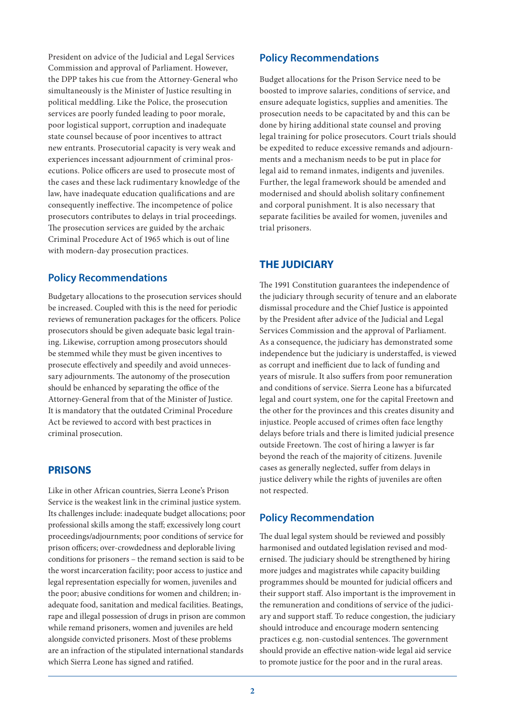President on advice of the Judicial and Legal Services Commission and approval of Parliament. However, the DPP takes his cue from the Attorney-General who simultaneously is the Minister of Justice resulting in political meddling. Like the Police, the prosecution services are poorly funded leading to poor morale, poor logistical support, corruption and inadequate state counsel because of poor incentives to attract new entrants. Prosecutorial capacity is very weak and experiences incessant adjournment of criminal prosecutions. Police officers are used to prosecute most of the cases and these lack rudimentary knowledge of the law, have inadequate education qualifications and are consequently ineffective. The incompetence of police prosecutors contributes to delays in trial proceedings. The prosecution services are guided by the archaic Criminal Procedure Act of 1965 which is out of line with modern-day prosecution practices.

#### **Policy Recommendations**

Budgetary allocations to the prosecution services should be increased. Coupled with this is the need for periodic reviews of remuneration packages for the officers. Police prosecutors should be given adequate basic legal training. Likewise, corruption among prosecutors should be stemmed while they must be given incentives to prosecute effectively and speedily and avoid unnecessary adjournments. The autonomy of the prosecution should be enhanced by separating the office of the Attorney-General from that of the Minister of Justice. It is mandatory that the outdated Criminal Procedure Act be reviewed to accord with best practices in criminal prosecution.

## **PRISONS**

Like in other African countries, Sierra Leone's Prison Service is the weakest link in the criminal justice system. Its challenges include: inadequate budget allocations; poor professional skills among the staff; excessively long court proceedings/adjournments; poor conditions of service for prison officers; over-crowdedness and deplorable living conditions for prisoners – the remand section is said to be the worst incarceration facility; poor access to justice and legal representation especially for women, juveniles and the poor; abusive conditions for women and children; inadequate food, sanitation and medical facilities. Beatings, rape and illegal possession of drugs in prison are common while remand prisoners, women and juveniles are held alongside convicted prisoners. Most of these problems are an infraction of the stipulated international standards which Sierra Leone has signed and ratified.

#### **Policy Recommendations**

Budget allocations for the Prison Service need to be boosted to improve salaries, conditions of service, and ensure adequate logistics, supplies and amenities. The prosecution needs to be capacitated by and this can be done by hiring additional state counsel and proving legal training for police prosecutors. Court trials should be expedited to reduce excessive remands and adjournments and a mechanism needs to be put in place for legal aid to remand inmates, indigents and juveniles. Further, the legal framework should be amended and modernised and should abolish solitary confinement and corporal punishment. It is also necessary that separate facilities be availed for women, juveniles and trial prisoners.

## **THE JUDICIARY**

The 1991 Constitution guarantees the independence of the judiciary through security of tenure and an elaborate dismissal procedure and the Chief Justice is appointed by the President after advice of the Judicial and Legal Services Commission and the approval of Parliament. As a consequence, the judiciary has demonstrated some independence but the judiciary is understaffed, is viewed as corrupt and inefficient due to lack of funding and years of misrule. It also suffers from poor remuneration and conditions of service. Sierra Leone has a bifurcated legal and court system, one for the capital Freetown and the other for the provinces and this creates disunity and injustice. People accused of crimes often face lengthy delays before trials and there is limited judicial presence outside Freetown. The cost of hiring a lawyer is far beyond the reach of the majority of citizens. Juvenile cases as generally neglected, suffer from delays in justice delivery while the rights of juveniles are often not respected.

#### **Policy Recommendation**

The dual legal system should be reviewed and possibly harmonised and outdated legislation revised and modernised. The judiciary should be strengthened by hiring more judges and magistrates while capacity building programmes should be mounted for judicial officers and their support staff. Also important is the improvement in the remuneration and conditions of service of the judiciary and support staff. To reduce congestion, the judiciary should introduce and encourage modern sentencing practices e.g. non-custodial sentences. The government should provide an effective nation-wide legal aid service to promote justice for the poor and in the rural areas.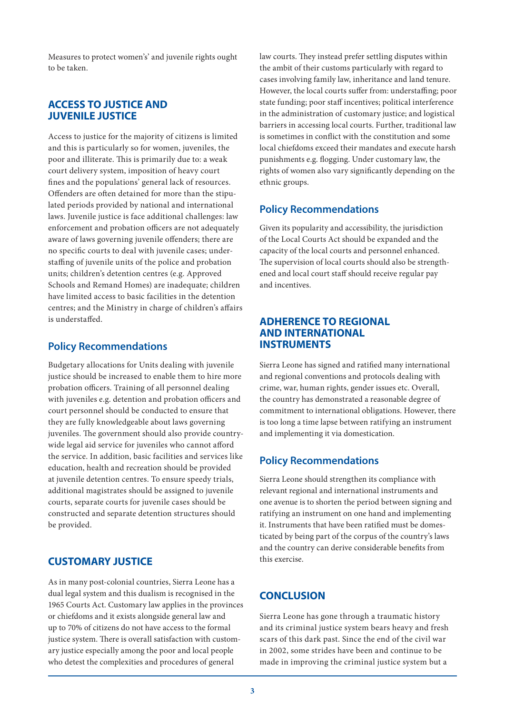Measures to protect women's' and juvenile rights ought to be taken.

#### **ACCESS TO JUSTICE AND JUVENILE JUSTICE**

Access to justice for the majority of citizens is limited and this is particularly so for women, juveniles, the poor and illiterate. This is primarily due to: a weak court delivery system, imposition of heavy court fines and the populations' general lack of resources. Offenders are often detained for more than the stipulated periods provided by national and international laws. Juvenile justice is face additional challenges: law enforcement and probation officers are not adequately aware of laws governing juvenile offenders; there are no specific courts to deal with juvenile cases; understaffing of juvenile units of the police and probation units; children's detention centres (e.g. Approved Schools and Remand Homes) are inadequate; children have limited access to basic facilities in the detention centres; and the Ministry in charge of children's affairs is understaffed.

#### **Policy Recommendations**

Budgetary allocations for Units dealing with juvenile justice should be increased to enable them to hire more probation officers. Training of all personnel dealing with juveniles e.g. detention and probation officers and court personnel should be conducted to ensure that they are fully knowledgeable about laws governing juveniles. The government should also provide countrywide legal aid service for juveniles who cannot afford the service. In addition, basic facilities and services like education, health and recreation should be provided at juvenile detention centres. To ensure speedy trials, additional magistrates should be assigned to juvenile courts, separate courts for juvenile cases should be constructed and separate detention structures should be provided.

## **CUSTOMARY JUSTICE**

As in many post-colonial countries, Sierra Leone has a dual legal system and this dualism is recognised in the 1965 Courts Act. Customary law applies in the provinces or chiefdoms and it exists alongside general law and up to 70% of citizens do not have access to the formal justice system. There is overall satisfaction with customary justice especially among the poor and local people who detest the complexities and procedures of general

law courts. They instead prefer settling disputes within the ambit of their customs particularly with regard to cases involving family law, inheritance and land tenure. However, the local courts suffer from: understaffing; poor state funding; poor staff incentives; political interference in the administration of customary justice; and logistical barriers in accessing local courts. Further, traditional law is sometimes in conflict with the constitution and some local chiefdoms exceed their mandates and execute harsh punishments e.g. flogging. Under customary law, the rights of women also vary significantly depending on the ethnic groups.

## **Policy Recommendations**

Given its popularity and accessibility, the jurisdiction of the Local Courts Act should be expanded and the capacity of the local courts and personnel enhanced. The supervision of local courts should also be strengthened and local court staff should receive regular pay and incentives.

## **ADHERENCE TO REGIONAL AND INTERNATIONAL INSTRUMENTS**

Sierra Leone has signed and ratified many international and regional conventions and protocols dealing with crime, war, human rights, gender issues etc. Overall, the country has demonstrated a reasonable degree of commitment to international obligations. However, there is too long a time lapse between ratifying an instrument and implementing it via domestication.

## **Policy Recommendations**

Sierra Leone should strengthen its compliance with relevant regional and international instruments and one avenue is to shorten the period between signing and ratifying an instrument on one hand and implementing it. Instruments that have been ratified must be domesticated by being part of the corpus of the country's laws and the country can derive considerable benefits from this exercise.

# **CONCLUSION**

Sierra Leone has gone through a traumatic history and its criminal justice system bears heavy and fresh scars of this dark past. Since the end of the civil war in 2002, some strides have been and continue to be made in improving the criminal justice system but a